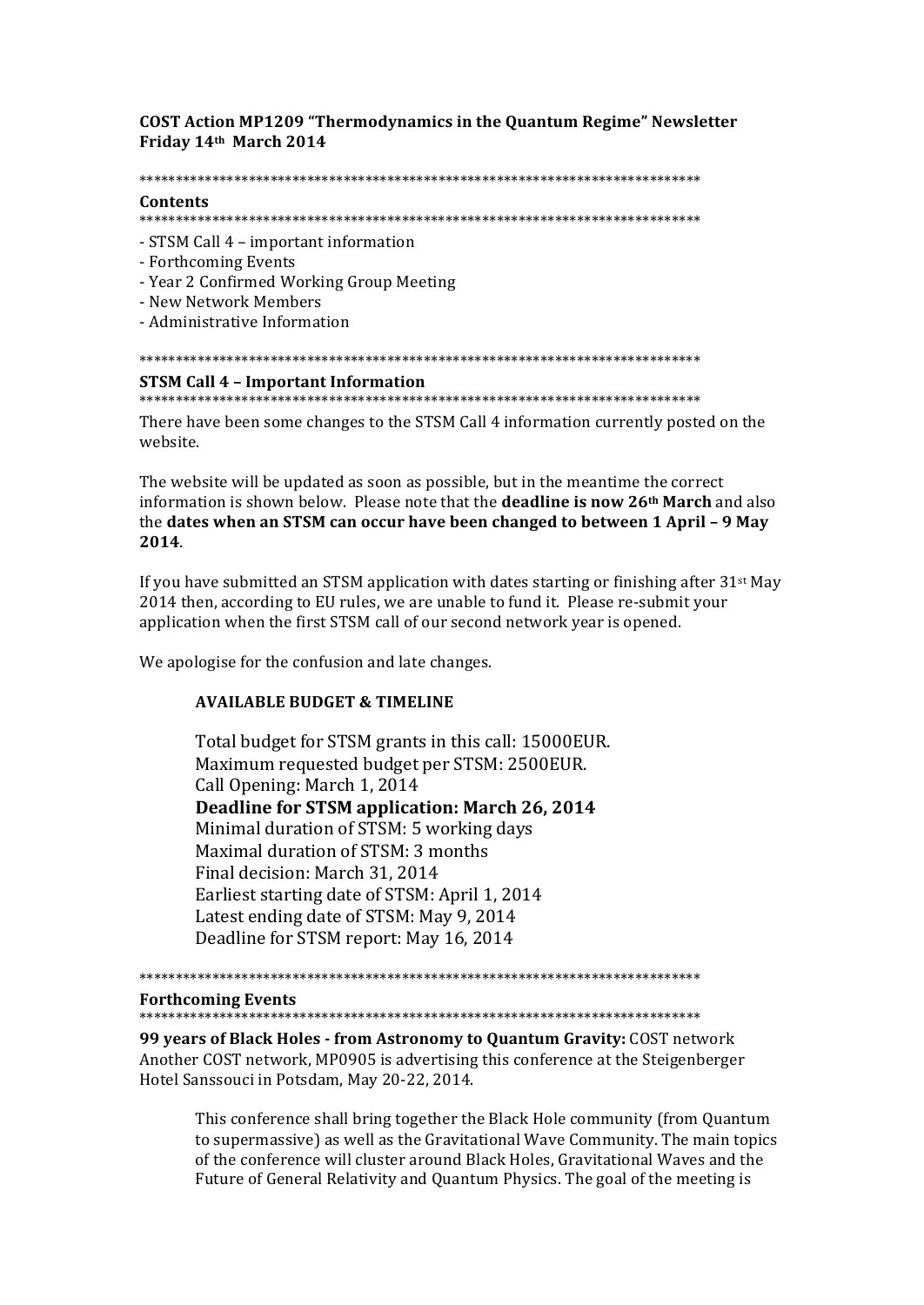**COST Action MP1209 "Thermodynamics in the Quantum Regime" Newsletter** Friday 14th March 2014

#### 

### Contents

- STSM Call 4 important information
- Forthcoming Events
- Year 2 Confirmed Working Group Meeting
- New Network Members
- Administrative Information

# 

## **STSM Call 4 - Important Information**

There have been some changes to the STSM Call 4 information currently posted on the website.

The website will be updated as soon as possible, but in the meantime the correct information is shown below. Please note that the **deadline is now 26th March** and also the dates when an STSM can occur have been changed to between 1 April - 9 May 2014.

If you have submitted an STSM application with dates starting or finishing after  $31st$  May 2014 then, according to EU rules, we are unable to fund it. Please re-submit your application when the first STSM call of our second network year is opened.

We apologise for the confusion and late changes.

# **AVAILABLE BUDGET & TIMELINE**

Total budget for STSM grants in this call: 15000EUR. Maximum requested budget per STSM: 2500EUR. Call Opening: March 1, 2014 Deadline for STSM application: March 26, 2014 Minimal duration of STSM: 5 working days Maximal duration of STSM: 3 months Final decision: March 31, 2014 Earliest starting date of STSM: April 1, 2014 Latest ending date of STSM: May 9, 2014 Deadline for STSM report: May 16, 2014

**Forthcoming Events** 

99 years of Black Holes - from Astronomy to Quantum Gravity: COST network Another COST network, MP0905 is advertising this conference at the Steigenberger Hotel Sanssouci in Potsdam, May 20-22, 2014.

This conference shall bring together the Black Hole community (from Quantum to supermassive) as well as the Gravitational Wave Community. The main topics of the conference will cluster around Black Holes, Gravitational Waves and the Future of General Relativity and Quantum Physics. The goal of the meeting is